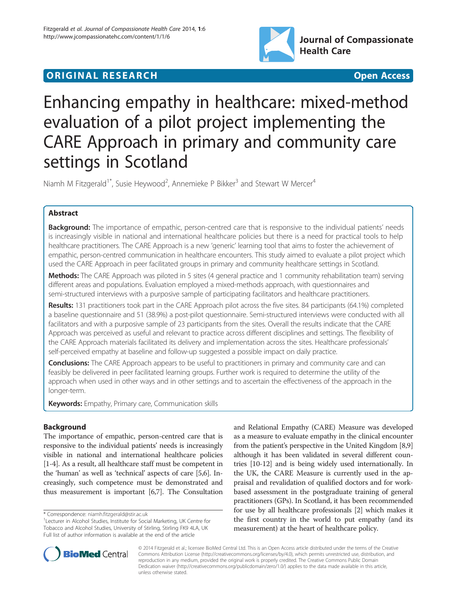

# **ORIGINAL RESEARCH CONSUMING ACCESS**

# Enhancing empathy in healthcare: mixed-method evaluation of a pilot project implementing the CARE Approach in primary and community care settings in Scotland

Niamh M Fitzgerald<sup>1\*</sup>, Susie Heywood<sup>2</sup>, Annemieke P Bikker<sup>3</sup> and Stewart W Mercer<sup>4</sup>

# Abstract

Background: The importance of empathic, person-centred care that is responsive to the individual patients' needs is increasingly visible in national and international healthcare policies but there is a need for practical tools to help healthcare practitioners. The CARE Approach is a new 'generic' learning tool that aims to foster the achievement of empathic, person-centred communication in healthcare encounters. This study aimed to evaluate a pilot project which used the CARE Approach in peer facilitated groups in primary and community healthcare settings in Scotland.

Methods: The CARE Approach was piloted in 5 sites (4 general practice and 1 community rehabilitation team) serving different areas and populations. Evaluation employed a mixed-methods approach, with questionnaires and semi-structured interviews with a purposive sample of participating facilitators and healthcare practitioners.

Results: 131 practitioners took part in the CARE Approach pilot across the five sites. 84 participants (64.1%) completed a baseline questionnaire and 51 (38.9%) a post-pilot questionnaire. Semi-structured interviews were conducted with all facilitators and with a purposive sample of 23 participants from the sites. Overall the results indicate that the CARE Approach was perceived as useful and relevant to practice across different disciplines and settings. The flexibility of the CARE Approach materials facilitated its delivery and implementation across the sites. Healthcare professionals' self-perceived empathy at baseline and follow-up suggested a possible impact on daily practice.

**Conclusions:** The CARE Approach appears to be useful to practitioners in primary and community care and can feasibly be delivered in peer facilitated learning groups. Further work is required to determine the utility of the approach when used in other ways and in other settings and to ascertain the effectiveness of the approach in the longer-term.

Keywords: Empathy, Primary care, Communication skills

# **Background**

The importance of empathic, person-centred care that is responsive to the individual patients' needs is increasingly visible in national and international healthcare policies [[1-4\]](#page-6-0). As a result, all healthcare staff must be competent in the 'human' as well as 'technical' aspects of care [\[5,6](#page-6-0)]. Increasingly, such competence must be demonstrated and thus measurement is important [[6](#page-6-0),[7](#page-6-0)]. The Consultation

and Relational Empathy (CARE) Measure was developed as a measure to evaluate empathy in the clinical encounter from the patient's perspective in the United Kingdom [[8,9](#page-6-0)] although it has been validated in several different countries [\[10-12\]](#page-6-0) and is being widely used internationally. In the UK, the CARE Measure is currently used in the appraisal and revalidation of qualified doctors and for workbased assessment in the postgraduate training of general practitioners (GPs). In Scotland, it has been recommended for use by all healthcare professionals [\[2\]](#page-6-0) which makes it the first country in the world to put empathy (and its measurement) at the heart of healthcare policy.



© 2014 Fitzgerald et al.; licensee BioMed Central Ltd. This is an Open Access article distributed under the terms of the Creative Commons Attribution License [\(http://creativecommons.org/licenses/by/4.0\)](http://creativecommons.org/licenses/by/4.0), which permits unrestricted use, distribution, and reproduction in any medium, provided the original work is properly credited. The Creative Commons Public Domain Dedication waiver [\(http://creativecommons.org/publicdomain/zero/1.0/](http://creativecommons.org/publicdomain/zero/1.0/)) applies to the data made available in this article, unless otherwise stated.

<sup>\*</sup> Correspondence: [niamh.fitzgerald@stir.ac.uk](mailto:niamh.fitzgerald@stir.ac.uk) <sup>1</sup>

<sup>&</sup>lt;sup>1</sup> Lecturer in Alcohol Studies, Institute for Social Marketing, UK Centre for Tobacco and Alcohol Studies, University of Stirling, Stirling FK9 4LA, UK Full list of author information is available at the end of the article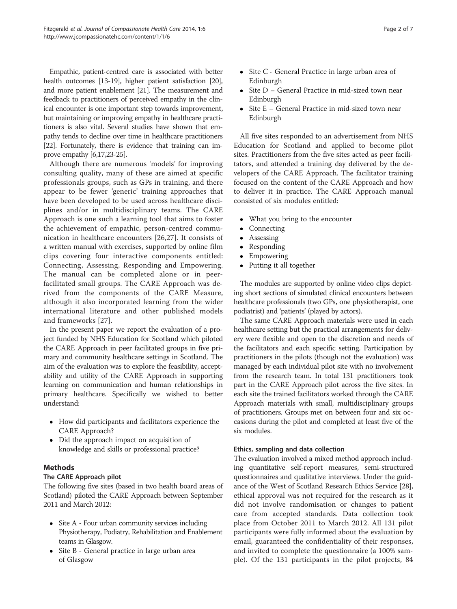Empathic, patient-centred care is associated with better health outcomes [\[13-19\]](#page-6-0), higher patient satisfaction [\[20](#page-6-0)], and more patient enablement [[21](#page-6-0)]. The measurement and feedback to practitioners of perceived empathy in the clinical encounter is one important step towards improvement, but maintaining or improving empathy in healthcare practitioners is also vital. Several studies have shown that empathy tends to decline over time in healthcare practitioners [[22](#page-6-0)]. Fortunately, there is evidence that training can improve empathy [[6,17,23](#page-6-0)-[25\]](#page-6-0).

Although there are numerous 'models' for improving consulting quality, many of these are aimed at specific professionals groups, such as GPs in training, and there appear to be fewer 'generic' training approaches that have been developed to be used across healthcare disciplines and/or in multidisciplinary teams. The CARE Approach is one such a learning tool that aims to foster the achievement of empathic, person-centred communication in healthcare encounters [[26,27](#page-6-0)]. It consists of a written manual with exercises, supported by online film clips covering four interactive components entitled: Connecting, Assessing, Responding and Empowering. The manual can be completed alone or in peerfacilitated small groups. The CARE Approach was derived from the components of the CARE Measure, although it also incorporated learning from the wider international literature and other published models and frameworks [[27](#page-6-0)].

In the present paper we report the evaluation of a project funded by NHS Education for Scotland which piloted the CARE Approach in peer facilitated groups in five primary and community healthcare settings in Scotland. The aim of the evaluation was to explore the feasibility, acceptability and utility of the CARE Approach in supporting learning on communication and human relationships in primary healthcare. Specifically we wished to better understand:

- How did participants and facilitators experience the CARE Approach?
- Did the approach impact on acquisition of knowledge and skills or professional practice?

# Methods

## The CARE Approach pilot

The following five sites (based in two health board areas of Scotland) piloted the CARE Approach between September 2011 and March 2012:

- Site A Four urban community services including Physiotherapy, Podiatry, Rehabilitation and Enablement teams in Glasgow.
- Site B General practice in large urban area of Glasgow
- Site C General Practice in large urban area of Edinburgh
- Site D General Practice in mid-sized town near Edinburgh
- Site E General Practice in mid-sized town near Edinburgh

All five sites responded to an advertisement from NHS Education for Scotland and applied to become pilot sites. Practitioners from the five sites acted as peer facilitators, and attended a training day delivered by the developers of the CARE Approach. The facilitator training focused on the content of the CARE Approach and how to deliver it in practice. The CARE Approach manual consisted of six modules entitled:

- What you bring to the encounter<br>• Connecting
- Connecting<br>• Assessing
- Assessing
- Responding<br>• Empowering
- Empowering
- Putting it all together

The modules are supported by online video clips depicting short sections of simulated clinical encounters between healthcare professionals (two GPs, one physiotherapist, one podiatrist) and 'patients' (played by actors).

The same CARE Approach materials were used in each healthcare setting but the practical arrangements for delivery were flexible and open to the discretion and needs of the facilitators and each specific setting. Participation by practitioners in the pilots (though not the evaluation) was managed by each individual pilot site with no involvement from the research team. In total 131 practitioners took part in the CARE Approach pilot across the five sites. In each site the trained facilitators worked through the CARE Approach materials with small, multidisciplinary groups of practitioners. Groups met on between four and six occasions during the pilot and completed at least five of the six modules.

## Ethics, sampling and data collection

The evaluation involved a mixed method approach including quantitative self-report measures, semi-structured questionnaires and qualitative interviews. Under the guidance of the West of Scotland Research Ethics Service [[28](#page-6-0)], ethical approval was not required for the research as it did not involve randomisation or changes to patient care from accepted standards. Data collection took place from October 2011 to March 2012. All 131 pilot participants were fully informed about the evaluation by email, guaranteed the confidentiality of their responses, and invited to complete the questionnaire (a 100% sample). Of the 131 participants in the pilot projects, 84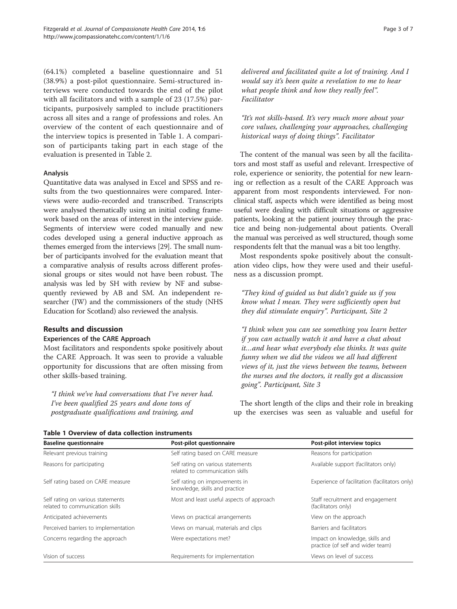(64.1%) completed a baseline questionnaire and 51 (38.9%) a post-pilot questionnaire. Semi-structured interviews were conducted towards the end of the pilot with all facilitators and with a sample of 23 (17.5%) participants, purposively sampled to include practitioners across all sites and a range of professions and roles. An overview of the content of each questionnaire and of the interview topics is presented in Table 1. A comparison of participants taking part in each stage of the evaluation is presented in Table [2.](#page-3-0)

#### Analysis

Quantitative data was analysed in Excel and SPSS and results from the two questionnaires were compared. Interviews were audio-recorded and transcribed. Transcripts were analysed thematically using an initial coding framework based on the areas of interest in the interview guide. Segments of interview were coded manually and new codes developed using a general inductive approach as themes emerged from the interviews [[29](#page-6-0)]. The small number of participants involved for the evaluation meant that a comparative analysis of results across different professional groups or sites would not have been robust. The analysis was led by SH with review by NF and subsequently reviewed by AB and SM. An independent researcher (JW) and the commissioners of the study (NHS Education for Scotland) also reviewed the analysis.

#### Results and discussion

#### Experiences of the CARE Approach

Most facilitators and respondents spoke positively about the CARE Approach. It was seen to provide a valuable opportunity for discussions that are often missing from other skills-based training.

"I think we've had conversations that I've never had. I've been qualified 25 years and done tons of postgraduate qualifications and training, and

delivered and facilitated quite a lot of training. And I would say it's been quite a revelation to me to hear what people think and how they really feel". Facilitator

"It's not skills-based. It's very much more about your core values, challenging your approaches, challenging historical ways of doing things". Facilitator

The content of the manual was seen by all the facilitators and most staff as useful and relevant. Irrespective of role, experience or seniority, the potential for new learning or reflection as a result of the CARE Approach was apparent from most respondents interviewed. For nonclinical staff, aspects which were identified as being most useful were dealing with difficult situations or aggressive patients, looking at the patient journey through the practice and being non-judgemental about patients. Overall the manual was perceived as well structured, though some respondents felt that the manual was a bit too lengthy.

Most respondents spoke positively about the consultation video clips, how they were used and their usefulness as a discussion prompt.

"They kind of guided us but didn't guide us if you know what I mean. They were sufficiently open but they did stimulate enquiry". Participant, Site 2

"I think when you can see something you learn better if you can actually watch it and have a chat about it…and hear what everybody else thinks. It was quite funny when we did the videos we all had different views of it, just the views between the teams, between the nurses and the doctors, it really got a discussion going". Participant, Site 3

The short length of the clips and their role in breaking up the exercises was seen as valuable and useful for

| <b>Baseline questionnaire</b>                                        | Post-pilot questionnaire                                             | Post-pilot interview topics                                          |
|----------------------------------------------------------------------|----------------------------------------------------------------------|----------------------------------------------------------------------|
| Relevant previous training                                           | Self rating based on CARE measure                                    | Reasons for participation                                            |
| Reasons for participating                                            | Self rating on various statements<br>related to communication skills | Available support (facilitators only)                                |
| Self rating based on CARE measure                                    | Self rating on improvements in<br>knowledge, skills and practice     | Experience of facilitation (facilitators only)                       |
| Self rating on various statements<br>related to communication skills | Most and least useful aspects of approach                            | Staff recruitment and engagement<br>(facilitators only)              |
| Anticipated achievements                                             | Views on practical arrangements                                      | View on the approach                                                 |
| Perceived barriers to implementation                                 | Views on manual, materials and clips                                 | Barriers and facilitators                                            |
| Concerns regarding the approach                                      | Were expectations met?                                               | Impact on knowledge, skills and<br>practice (of self and wider team) |
| Vision of success                                                    | Requirements for implementation                                      | Views on level of success                                            |

### Table 1 Overview of data collection instruments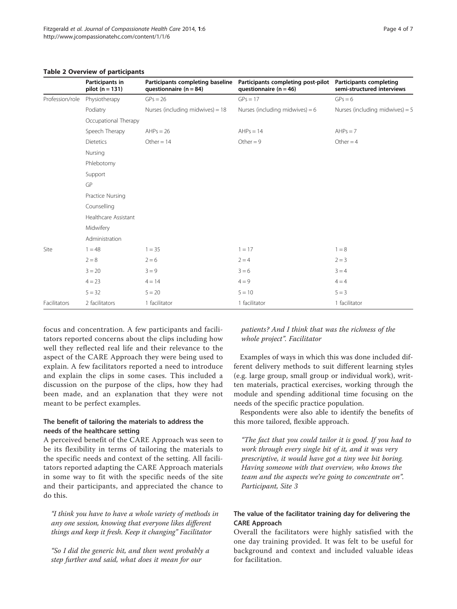#### <span id="page-3-0"></span>Table 2 Overview of participants

|                 | Participants in<br>pilot ( $n = 131$ ) | Participants completing baseline<br>questionnaire ( $n = 84$ ) | Participants completing post-pilot<br>questionnaire ( $n = 46$ ) | <b>Participants completing</b><br>semi-structured interviews |
|-----------------|----------------------------------------|----------------------------------------------------------------|------------------------------------------------------------------|--------------------------------------------------------------|
| Profession/role | Physiotherapy                          | $GPs = 26$                                                     | $GPs = 17$                                                       | $GPs = 6$                                                    |
|                 | Podiatry                               | Nurses (including midwives) = 18                               | Nurses (including midwives) = $6$                                | Nurses (including midwives) = 5                              |
|                 | Occupational Therapy                   |                                                                |                                                                  |                                                              |
|                 | Speech Therapy                         | $AHPs = 26$                                                    | $AHPs = 14$                                                      | $AHPs = 7$                                                   |
|                 | <b>Dietetics</b>                       | Other = $14$                                                   | Other = $9$                                                      | Other = $4$                                                  |
|                 | Nursing                                |                                                                |                                                                  |                                                              |
|                 | Phlebotomy                             |                                                                |                                                                  |                                                              |
|                 | Support                                |                                                                |                                                                  |                                                              |
|                 | GP                                     |                                                                |                                                                  |                                                              |
|                 | Practice Nursing                       |                                                                |                                                                  |                                                              |
|                 | Counselling                            |                                                                |                                                                  |                                                              |
|                 | Healthcare Assistant                   |                                                                |                                                                  |                                                              |
|                 | Midwifery                              |                                                                |                                                                  |                                                              |
|                 | Administration                         |                                                                |                                                                  |                                                              |
| Site            | $1 = 48$                               | $1 = 35$                                                       | $1 = 17$                                                         | $1 = 8$                                                      |
|                 | $2 = 8$                                | $2 = 6$                                                        | $2 = 4$                                                          | $2 = 3$                                                      |
|                 | $3 = 20$                               | $3 = 9$                                                        | $3 = 6$                                                          | $3 = 4$                                                      |
|                 | $4 = 23$                               | $4 = 14$                                                       | $4 = 9$                                                          | $4 = 4$                                                      |
|                 | $5 = 32$                               | $5 = 20$                                                       | $5 = 10$                                                         | $5 = 3$                                                      |
| Facilitators    | 2 facilitators                         | 1 facilitator                                                  | 1 facilitator                                                    | 1 facilitator                                                |

focus and concentration. A few participants and facilitators reported concerns about the clips including how well they reflected real life and their relevance to the aspect of the CARE Approach they were being used to explain. A few facilitators reported a need to introduce and explain the clips in some cases. This included a discussion on the purpose of the clips, how they had been made, and an explanation that they were not meant to be perfect examples.

# The benefit of tailoring the materials to address the needs of the healthcare setting

A perceived benefit of the CARE Approach was seen to be its flexibility in terms of tailoring the materials to the specific needs and context of the setting. All facilitators reported adapting the CARE Approach materials in some way to fit with the specific needs of the site and their participants, and appreciated the chance to do this.

"I think you have to have a whole variety of methods in any one session, knowing that everyone likes different things and keep it fresh. Keep it changing" Facilitator

"So I did the generic bit, and then went probably a step further and said, what does it mean for our

## patients? And I think that was the richness of the whole project". Facilitator

Examples of ways in which this was done included different delivery methods to suit different learning styles (e.g. large group, small group or individual work), written materials, practical exercises, working through the module and spending additional time focusing on the needs of the specific practice population.

Respondents were also able to identify the benefits of this more tailored, flexible approach.

"The fact that you could tailor it is good. If you had to work through every single bit of it, and it was very prescriptive, it would have got a tiny wee bit boring. Having someone with that overview, who knows the team and the aspects we're going to concentrate on". Participant, Site 3

# The value of the facilitator training day for delivering the CARE Approach

Overall the facilitators were highly satisfied with the one day training provided. It was felt to be useful for background and context and included valuable ideas for facilitation.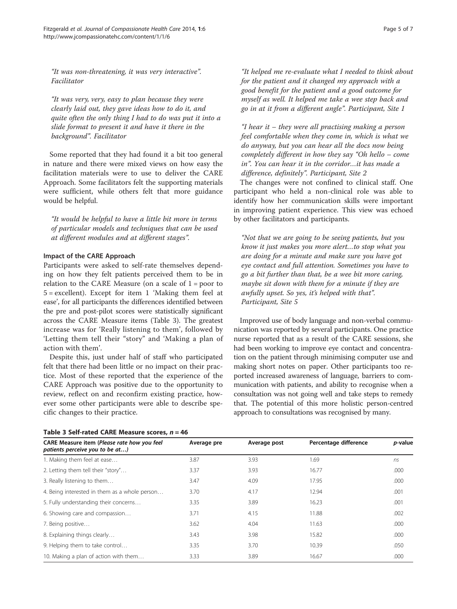"It was non-threatening, it was very interactive". Facilitator

"It was very, very, easy to plan because they were clearly laid out, they gave ideas how to do it, and quite often the only thing I had to do was put it into a slide format to present it and have it there in the background". Facilitator

Some reported that they had found it a bit too general in nature and there were mixed views on how easy the facilitation materials were to use to deliver the CARE Approach. Some facilitators felt the supporting materials were sufficient, while others felt that more guidance would be helpful.

"It would be helpful to have a little bit more in terms of particular models and techniques that can be used at different modules and at different stages".

#### Impact of the CARE Approach

Participants were asked to self-rate themselves depending on how they felt patients perceived them to be in relation to the CARE Measure (on a scale of  $1 = poor$  to 5 = excellent). Except for item 1 'Making them feel at ease', for all participants the differences identified between the pre and post-pilot scores were statistically significant across the CARE Measure items (Table 3). The greatest increase was for 'Really listening to them', followed by 'Letting them tell their "story" and 'Making a plan of action with them'.

Despite this, just under half of staff who participated felt that there had been little or no impact on their practice. Most of these reported that the experience of the CARE Approach was positive due to the opportunity to review, reflect on and reconfirm existing practice, however some other participants were able to describe specific changes to their practice.

"It helped me re-evaluate what I needed to think about for the patient and it changed my approach with a good benefit for the patient and a good outcome for myself as well. It helped me take a wee step back and go in at it from a different angle". Participant, Site 1

"I hear it – they were all practising making a person feel comfortable when they come in, which is what we do anyway, but you can hear all the docs now being completely different in how they say "Oh hello – come in". You can hear it in the corridor…it has made a difference, definitely". Participant, Site 2

The changes were not confined to clinical staff. One participant who held a non-clinical role was able to identify how her communication skills were important in improving patient experience. This view was echoed by other facilitators and participants.

"Not that we are going to be seeing patients, but you know it just makes you more alert…to stop what you are doing for a minute and make sure you have got eye contact and full attention. Sometimes you have to go a bit further than that, be a wee bit more caring, maybe sit down with them for a minute if they are awfully upset. So yes, it's helped with that". Participant, Site 5

Improved use of body language and non-verbal communication was reported by several participants. One practice nurse reported that as a result of the CARE sessions, she had been working to improve eye contact and concentration on the patient through minimising computer use and making short notes on paper. Other participants too reported increased awareness of language, barriers to communication with patients, and ability to recognise when a consultation was not going well and take steps to remedy that. The potential of this more holistic person-centred approach to consultations was recognised by many.

| CARE Measure item (Please rate how you feel<br>patients perceive you to be at) | Average pre | Average post | Percentage difference | p-value |
|--------------------------------------------------------------------------------|-------------|--------------|-----------------------|---------|
| 1. Making them feel at ease                                                    | 3.87        | 3.93         | 1.69                  | ns      |
| 2. Letting them tell their "story"                                             | 3.37        | 3.93         | 16.77                 | .000    |
| 3. Really listening to them                                                    | 3.47        | 4.09         | 17.95                 | .000    |
| 4. Being interested in them as a whole person                                  | 3.70        | 4.17         | 12.94                 | .001    |
| 5. Fully understanding their concerns                                          | 3.35        | 3.89         | 16.23                 | .001    |
| 6. Showing care and compassion                                                 | 3.71        | 4.15         | 11.88                 | .002    |
| 7. Being positive                                                              | 3.62        | 4.04         | 11.63                 | .000    |
| 8. Explaining things clearly                                                   | 3.43        | 3.98         | 15.82                 | .000    |
| 9. Helping them to take control                                                | 3.35        | 3.70         | 10.39                 | .050    |
| 10. Making a plan of action with them                                          | 3.33        | 3.89         | 16.67                 | .000    |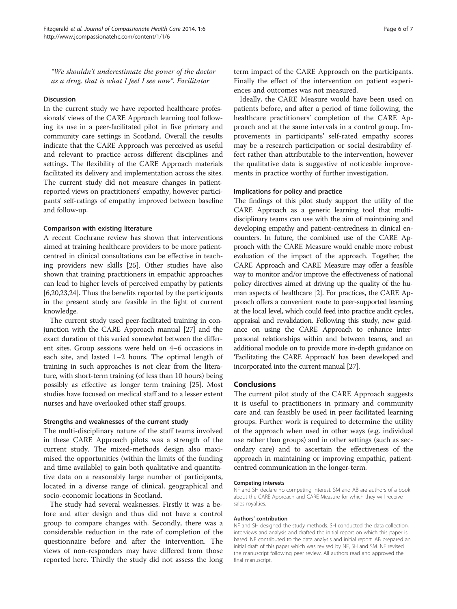"We shouldn't underestimate the power of the doctor as a drug, that is what I feel I see now". Facilitator

#### Discussion

In the current study we have reported healthcare professionals' views of the CARE Approach learning tool following its use in a peer-facilitated pilot in five primary and community care settings in Scotland. Overall the results indicate that the CARE Approach was perceived as useful and relevant to practice across different disciplines and settings. The flexibility of the CARE Approach materials facilitated its delivery and implementation across the sites. The current study did not measure changes in patientreported views on practitioners' empathy, however participants' self-ratings of empathy improved between baseline and follow-up.

#### Comparison with existing literature

A recent Cochrane review has shown that interventions aimed at training healthcare providers to be more patientcentred in clinical consultations can be effective in teaching providers new skills [\[25\]](#page-6-0). Other studies have also shown that training practitioners in empathic approaches can lead to higher levels of perceived empathy by patients [[6,20,23,24\]](#page-6-0). Thus the benefits reported by the participants in the present study are feasible in the light of current knowledge.

The current study used peer-facilitated training in conjunction with the CARE Approach manual [\[27\]](#page-6-0) and the exact duration of this varied somewhat between the different sites. Group sessions were held on 4–6 occasions in each site, and lasted 1–2 hours. The optimal length of training in such approaches is not clear from the literature, with short-term training (of less than 10 hours) being possibly as effective as longer term training [\[25\]](#page-6-0). Most studies have focused on medical staff and to a lesser extent nurses and have overlooked other staff groups.

#### Strengths and weaknesses of the current study

The multi-disciplinary nature of the staff teams involved in these CARE Approach pilots was a strength of the current study. The mixed-methods design also maximised the opportunities (within the limits of the funding and time available) to gain both qualitative and quantitative data on a reasonably large number of participants, located in a diverse range of clinical, geographical and socio-economic locations in Scotland.

The study had several weaknesses. Firstly it was a before and after design and thus did not have a control group to compare changes with. Secondly, there was a considerable reduction in the rate of completion of the questionnaire before and after the intervention. The views of non-responders may have differed from those reported here. Thirdly the study did not assess the long

term impact of the CARE Approach on the participants. Finally the effect of the intervention on patient experiences and outcomes was not measured.

Ideally, the CARE Measure would have been used on patients before, and after a period of time following, the healthcare practitioners' completion of the CARE Approach and at the same intervals in a control group. Improvements in participants' self-rated empathy scores may be a research participation or social desirability effect rather than attributable to the intervention, however the qualitative data is suggestive of noticeable improvements in practice worthy of further investigation.

#### Implications for policy and practice

The findings of this pilot study support the utility of the CARE Approach as a generic learning tool that multidisciplinary teams can use with the aim of maintaining and developing empathy and patient-centredness in clinical encounters. In future, the combined use of the CARE Approach with the CARE Measure would enable more robust evaluation of the impact of the approach. Together, the CARE Approach and CARE Measure may offer a feasible way to monitor and/or improve the effectiveness of national policy directives aimed at driving up the quality of the human aspects of healthcare [\[2](#page-6-0)]. For practices, the CARE Approach offers a convenient route to peer-supported learning at the local level, which could feed into practice audit cycles, appraisal and revalidation. Following this study, new guidance on using the CARE Approach to enhance interpersonal relationships within and between teams, and an additional module on to provide more in-depth guidance on 'Facilitating the CARE Approach' has been developed and incorporated into the current manual [\[27](#page-6-0)].

#### Conclusions

The current pilot study of the CARE Approach suggests it is useful to practitioners in primary and community care and can feasibly be used in peer facilitated learning groups. Further work is required to determine the utility of the approach when used in other ways (e.g. individual use rather than groups) and in other settings (such as secondary care) and to ascertain the effectiveness of the approach in maintaining or improving empathic, patientcentred communication in the longer-term.

#### Competing interests

NF and SH declare no competing interest. SM and AB are authors of a book about the CARE Approach and CARE Measure for which they will receive sales royalties.

#### Authors' contribution

NF and SH designed the study methods. SH conducted the data collection, interviews and analysis and drafted the initial report on which this paper is based. NF contributed to the data analysis and initial report. AB prepared an initial draft of this paper which was revised by NF, SH and SM. NF revised the manuscript following peer review. All authors read and approved the final manuscript.